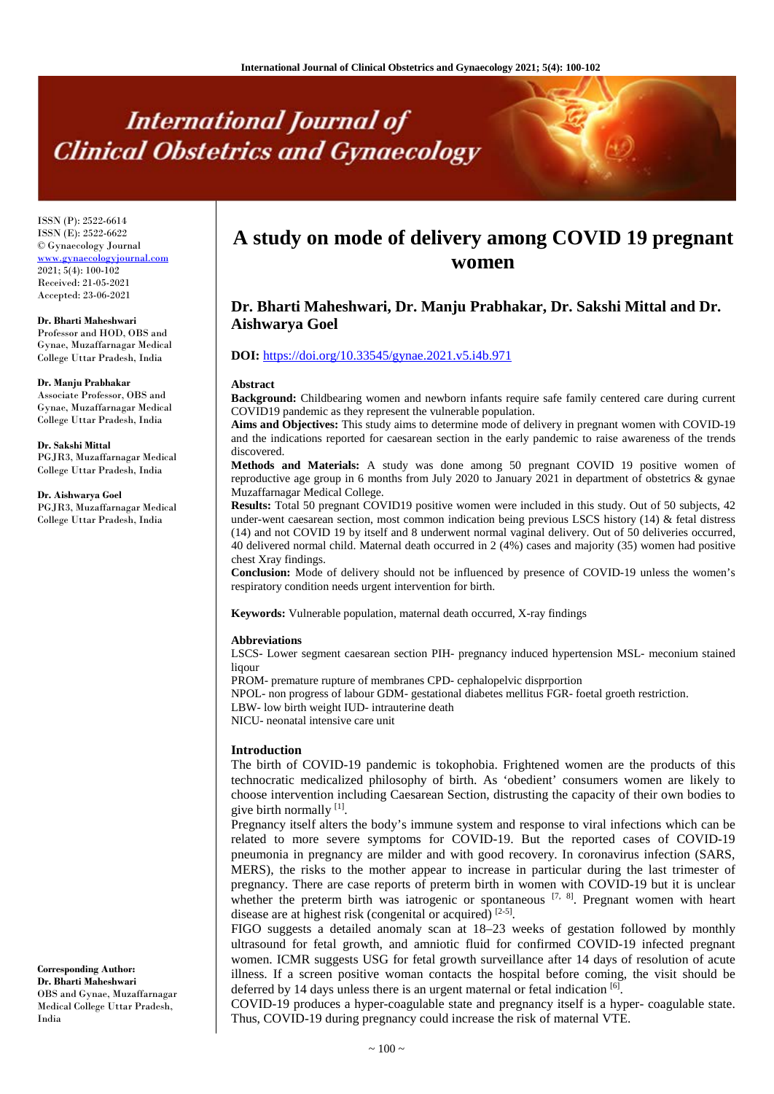# **International Journal of Clinical Obstetrics and Gynaecology**

ISSN (P): 2522-6614 ISSN (E): 2522-6622 © Gynaecology Journal www.gynaecologyjournal.com 2021; 5(4): 100-102 Received: 21-05-2021 Accepted: 23-06-2021

**Dr. Bharti Maheshwari** Professor and HOD, OBS and Gynae, Muzaffarnagar Medical College Uttar Pradesh, India

#### **Dr. Manju Prabhakar**

Associate Professor, OBS and Gynae, Muzaffarnagar Medical College Uttar Pradesh, India

#### **Dr. Sakshi Mittal**

PGJR3, Muzaffarnagar Medical College Uttar Pradesh, India

#### **Dr. Aishwarya Goel**

PGJR3, Muzaffarnagar Medical College Uttar Pradesh, India

# **A study on mode of delivery among COVID 19 pregnant women**

## **Dr. Bharti Maheshwari, Dr. Manju Prabhakar, Dr. Sakshi Mittal and Dr. Aishwarya Goel**

#### **DOI:** <https://doi.org/10.33545/gynae.2021.v5.i4b.971>

#### **Abstract**

**Background:** Childbearing women and newborn infants require safe family centered care during current COVID19 pandemic as they represent the vulnerable population.

**Aims and Objectives:** This study aims to determine mode of delivery in pregnant women with COVID-19 and the indications reported for caesarean section in the early pandemic to raise awareness of the trends discovered.

**Methods and Materials:** A study was done among 50 pregnant COVID 19 positive women of reproductive age group in 6 months from July 2020 to January 2021 in department of obstetrics & gynae Muzaffarnagar Medical College.

**Results:** Total 50 pregnant COVID19 positive women were included in this study. Out of 50 subjects, 42 under-went caesarean section, most common indication being previous LSCS history (14) & fetal distress (14) and not COVID 19 by itself and 8 underwent normal vaginal delivery. Out of 50 deliveries occurred, 40 delivered normal child. Maternal death occurred in 2 (4%) cases and majority (35) women had positive chest Xray findings.

**Conclusion:** Mode of delivery should not be influenced by presence of COVID-19 unless the women's respiratory condition needs urgent intervention for birth.

**Keywords:** Vulnerable population, maternal death occurred, X-ray findings

#### **Abbreviations**

LSCS- Lower segment caesarean section PIH- pregnancy induced hypertension MSL- meconium stained ligour

PROM- premature rupture of membranes CPD- cephalopelvic disprportion

NPOL- non progress of labour GDM- gestational diabetes mellitus FGR- foetal groeth restriction.

LBW- low birth weight IUD- intrauterine death

NICU- neonatal intensive care unit

#### **Introduction**

The birth of COVID-19 pandemic is tokophobia. Frightened women are the products of this technocratic medicalized philosophy of birth. As 'obedient' consumers women are likely to choose intervention including Caesarean Section, distrusting the capacity of their own bodies to give birth normally  $[1]$ .

Pregnancy itself alters the body's immune system and response to viral infections which can be related to more severe symptoms for COVID-19. But the reported cases of COVID-19 pneumonia in pregnancy are milder and with good recovery. In coronavirus infection (SARS, MERS), the risks to the mother appear to increase in particular during the last trimester of pregnancy. There are case reports of preterm birth in women with COVID-19 but it is unclear whether the preterm birth was iatrogenic or spontaneous [7, 8]. Pregnant women with heart disease are at highest risk (congenital or acquired) [2-5].

FIGO suggests a detailed anomaly scan at 18–23 weeks of gestation followed by monthly ultrasound for fetal growth, and amniotic fluid for confirmed COVID-19 infected pregnant women. ICMR suggests USG for fetal growth surveillance after 14 days of resolution of acute illness. If a screen positive woman contacts the hospital before coming, the visit should be deferred by 14 days unless there is an urgent maternal or fetal indication [6].

COVID-19 produces a hyper-coagulable state and pregnancy itself is a hyper- coagulable state. Thus, COVID-19 during pregnancy could increase the risk of maternal VTE.

**Corresponding Author: Dr. Bharti Maheshwari** OBS and Gynae, Muzaffarnagar Medical College Uttar Pradesh, India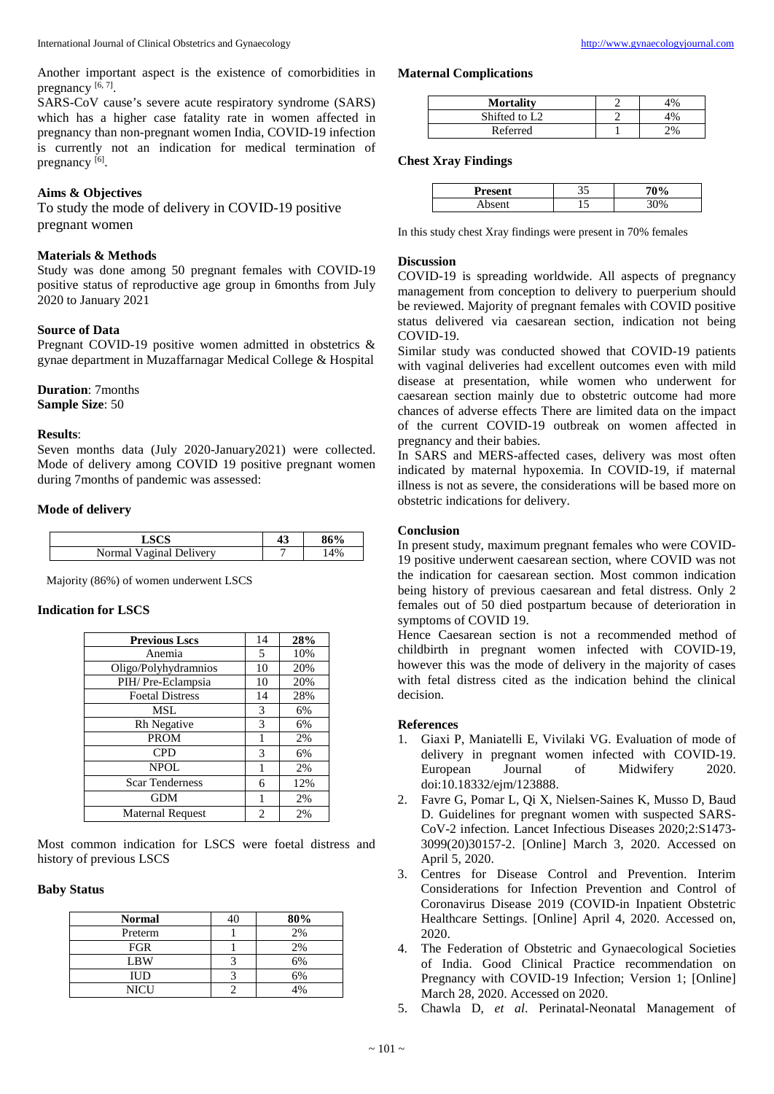SARS-CoV cause's severe acute respiratory syndrome (SARS) which has a higher case fatality rate in women affected in pregnancy than non-pregnant women India, COVID-19 infection is currently not an indication for medical termination of pregnancy [6].

#### **Aims & Objectives**

To study the mode of delivery in COVID-19 positive pregnant women

#### **Materials & Methods**

Study was done among 50 pregnant females with COVID-19 positive status of reproductive age group in 6months from July 2020 to January 2021

#### **Source of Data**

Pregnant COVID-19 positive women admitted in obstetrics & gynae department in Muzaffarnagar Medical College & Hospital

### **Duration**: 7months

**Sample Size**: 50

#### **Results**:

Seven months data (July 2020-January2021) were collected. Mode of delivery among COVID 19 positive pregnant women during 7months of pandemic was assessed:

#### **Mode of delivery**

|                               | 49<br>ு | 86% |
|-------------------------------|---------|-----|
| Vaginal<br>Delivery<br>Normal | -       | 4%  |

Majority (86%) of women underwent LSCS

#### **Indication for LSCS**

| <b>Previous Lscs</b>    | 14             | 28% |
|-------------------------|----------------|-----|
| Anemia                  | 5              | 10% |
| Oligo/Polyhydramnios    | 10             | 20% |
| PIH/Pre-Eclampsia       | 10             | 20% |
| <b>Foetal Distress</b>  | 14             | 28% |
| MSL                     | 3              | 6%  |
| Rh Negative             | 3              | 6%  |
| <b>PROM</b>             |                | 2%  |
| <b>CPD</b>              | 3              | 6%  |
| NPOL                    |                | 2%  |
| <b>Scar Tenderness</b>  | 6              | 12% |
| <b>GDM</b>              |                | 2%  |
| <b>Maternal Request</b> | $\mathfrak{D}$ | 2%  |

Most common indication for LSCS were foetal distress and history of previous LSCS

#### **Baby Status**

| <b>Normal</b> | 80%             |
|---------------|-----------------|
| Preterm       | 2%              |
| FGR           | 2%              |
| <b>LBW</b>    | 6%              |
| IUD           | 6%              |
| NICU          | 10 <sub>0</sub> |

#### **Maternal Complications**

| <b>Mortality</b>          | 1% |
|---------------------------|----|
| Shifted to L <sub>2</sub> | 1% |
| Referred                  | 2% |

#### **Chest Xray Findings**

| Present |                          |  |
|---------|--------------------------|--|
| cont    | $\overline{\phantom{0}}$ |  |

In this study chest Xray findings were present in 70% females

#### **Discussion**

COVID-19 is spreading worldwide. All aspects of pregnancy management from conception to delivery to puerperium should be reviewed. Majority of pregnant females with COVID positive status delivered via caesarean section, indication not being COVID-19.

Similar study was conducted showed that COVID-19 patients with vaginal deliveries had excellent outcomes even with mild disease at presentation, while women who underwent for caesarean section mainly due to obstetric outcome had more chances of adverse effects There are limited data on the impact of the current COVID-19 outbreak on women affected in pregnancy and their babies.

In SARS and MERS-affected cases, delivery was most often indicated by maternal hypoxemia. In COVID-19, if maternal illness is not as severe, the considerations will be based more on obstetric indications for delivery.

#### **Conclusion**

In present study, maximum pregnant females who were COVID-19 positive underwent caesarean section, where COVID was not the indication for caesarean section. Most common indication being history of previous caesarean and fetal distress. Only 2 females out of 50 died postpartum because of deterioration in symptoms of COVID 19.

Hence Caesarean section is not a recommended method of childbirth in pregnant women infected with COVID-19, however this was the mode of delivery in the majority of cases with fetal distress cited as the indication behind the clinical decision.

#### **References**

- 1. Giaxi P, Maniatelli E, Vivilaki VG. Evaluation of mode of delivery in pregnant women infected with COVID-19. European Journal of Midwifery 2020. doi:10.18332/ejm/123888.
- 2. Favre G, Pomar L, Qi X, Nielsen-Saines K, Musso D, Baud D. Guidelines for pregnant women with suspected SARS-CoV-2 infection. Lancet Infectious Diseases 2020;2:S1473- 3099(20)30157-2. [Online] March 3, 2020. Accessed on April 5, 2020.
- 3. Centres for Disease Control and Prevention. Interim Considerations for Infection Prevention and Control of Coronavirus Disease 2019 (COVID-in Inpatient Obstetric Healthcare Settings. [Online] April 4, 2020. Accessed on, 2020.
- 4. The Federation of Obstetric and Gynaecological Societies of India. Good Clinical Practice recommendation on Pregnancy with COVID-19 Infection; Version 1; [Online] March 28, 2020. Accessed on 2020.
- 5. Chawla D, *et al*. Perinatal-Neonatal Management of